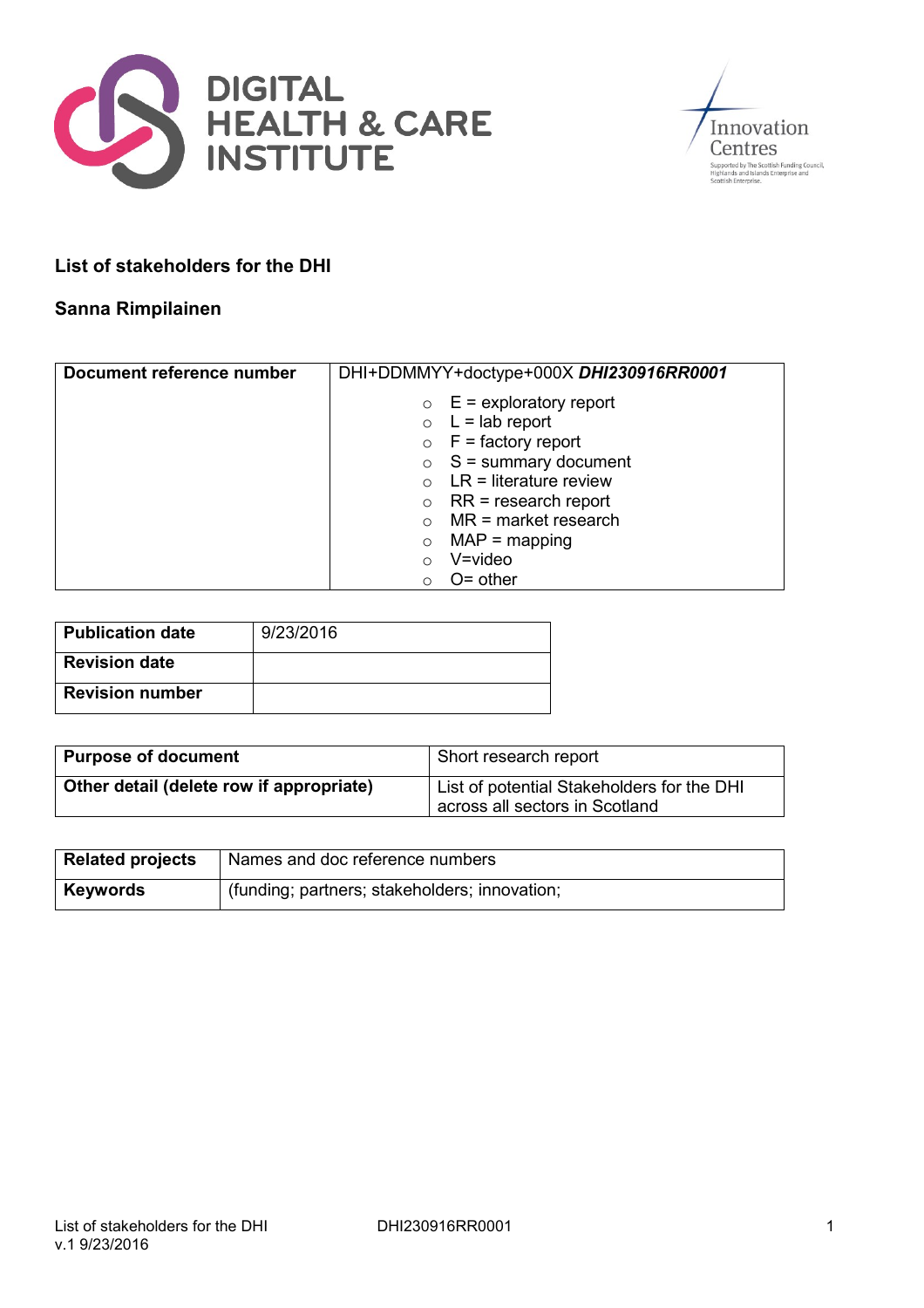



# **List of stakeholders for the DHI**

### **Sanna Rimpilainen**

| Document reference number | DHI+DDMMYY+doctype+000X DHI230916RR0001 |
|---------------------------|-----------------------------------------|
|                           | $\circ$ E = exploratory report          |
|                           | $\circ$ L = lab report                  |
|                           | $\circ$ F = factory report              |
|                           | $\circ$ S = summary document            |
|                           | $\circ$ LR = literature review          |
|                           | $RR = research report$<br>$\circ$       |
|                           | MR = market research                    |
|                           | $MAP = mapping$<br>$\circ$              |
|                           | $V = video$<br>$\circ$                  |
|                           | $O =$ other<br>O                        |

| Publication date       | 9/23/2016 |
|------------------------|-----------|
| <b>Revision date</b>   |           |
| <b>Revision number</b> |           |

| <b>Purpose of document</b>               | Short research report                                                        |
|------------------------------------------|------------------------------------------------------------------------------|
| Other detail (delete row if appropriate) | List of potential Stakeholders for the DHI<br>across all sectors in Scotland |

| <b>Related projects</b> | Names and doc reference numbers               |
|-------------------------|-----------------------------------------------|
| <b>Keywords</b>         | (funding; partners; stakeholders; innovation; |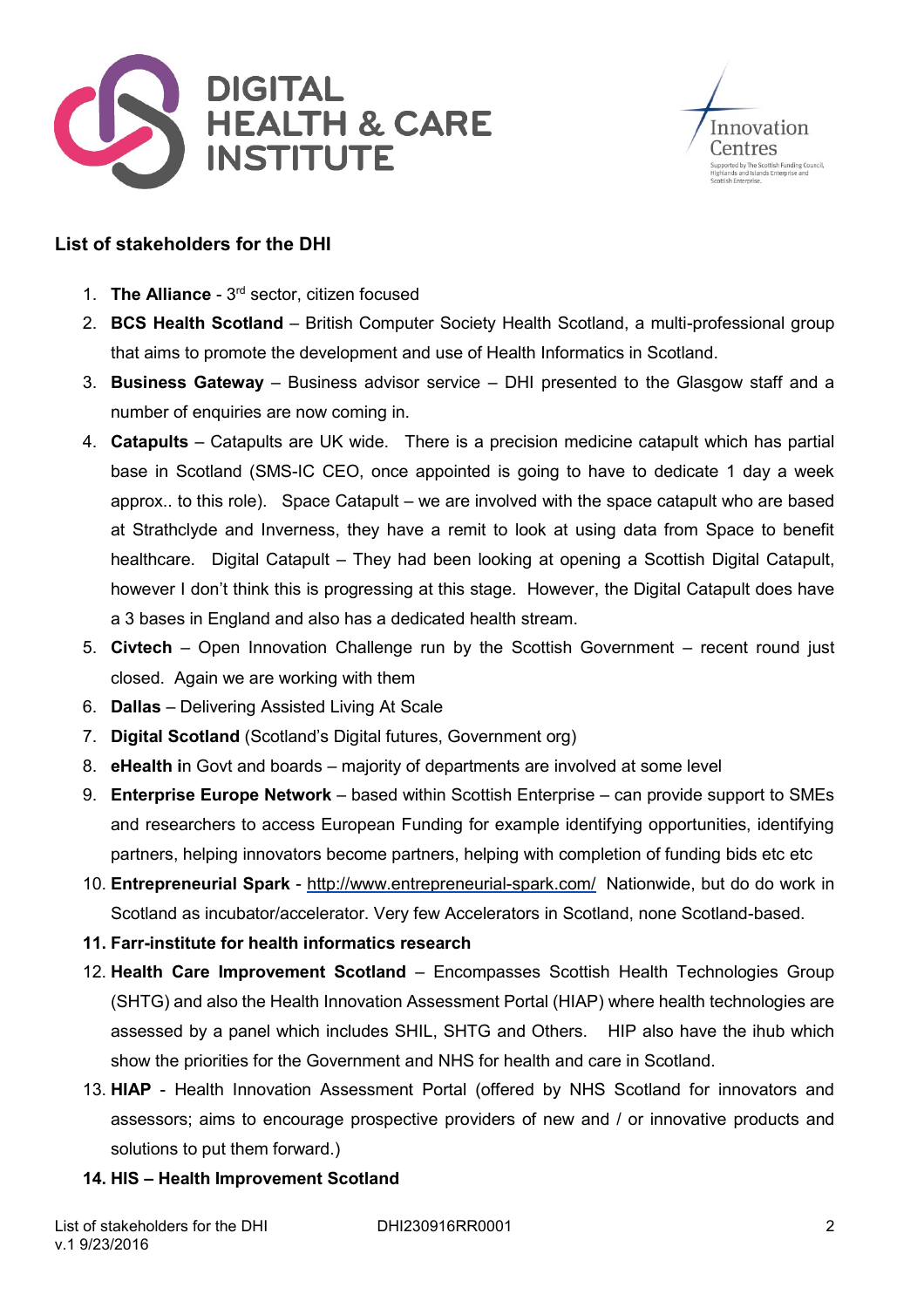



# **List of stakeholders for the DHI**

- 1. **The Alliance** 3<sup>rd</sup> sector, citizen focused
- 2. **BCS Health Scotland** British Computer Society Health Scotland, a multi-professional group that aims to promote the development and use of Health Informatics in Scotland.
- 3. **Business Gateway** Business advisor service DHI presented to the Glasgow staff and a number of enquiries are now coming in.
- 4. **Catapults** Catapults are UK wide. There is a precision medicine catapult which has partial base in Scotland (SMS-IC CEO, once appointed is going to have to dedicate 1 day a week approx.. to this role). Space Catapult – we are involved with the space catapult who are based at Strathclyde and Inverness, they have a remit to look at using data from Space to benefit healthcare. Digital Catapult – They had been looking at opening a Scottish Digital Catapult, however I don't think this is progressing at this stage. However, the Digital Catapult does have a 3 bases in England and also has a dedicated health stream.
- 5. **Civtech** Open Innovation Challenge run by the Scottish Government recent round just closed. Again we are working with them
- 6. **Dallas** Delivering Assisted Living At Scale
- 7. **Digital Scotland** (Scotland's Digital futures, Government org)
- 8. **eHealth i**n Govt and boards majority of departments are involved at some level
- 9. **Enterprise Europe Network** based within Scottish Enterprise can provide support to SMEs and researchers to access European Funding for example identifying opportunities, identifying partners, helping innovators become partners, helping with completion of funding bids etc etc
- 10. **Entrepreneurial Spark** <http://www.entrepreneurial-spark.com/> Nationwide, but do do work in Scotland as incubator/accelerator. Very few Accelerators in Scotland, none Scotland-based.
- **11. Farr-institute for health informatics research**
- 12. **Health Care Improvement Scotland** Encompasses Scottish Health Technologies Group (SHTG) and also the Health Innovation Assessment Portal (HIAP) where health technologies are assessed by a panel which includes SHIL, SHTG and Others. HIP also have the ihub which show the priorities for the Government and NHS for health and care in Scotland.
- 13. **HIAP** Health Innovation Assessment Portal (offered by NHS Scotland for innovators and assessors; aims to encourage prospective providers of new and / or innovative products and solutions to put them forward.)
- **14. HIS – Health Improvement Scotland**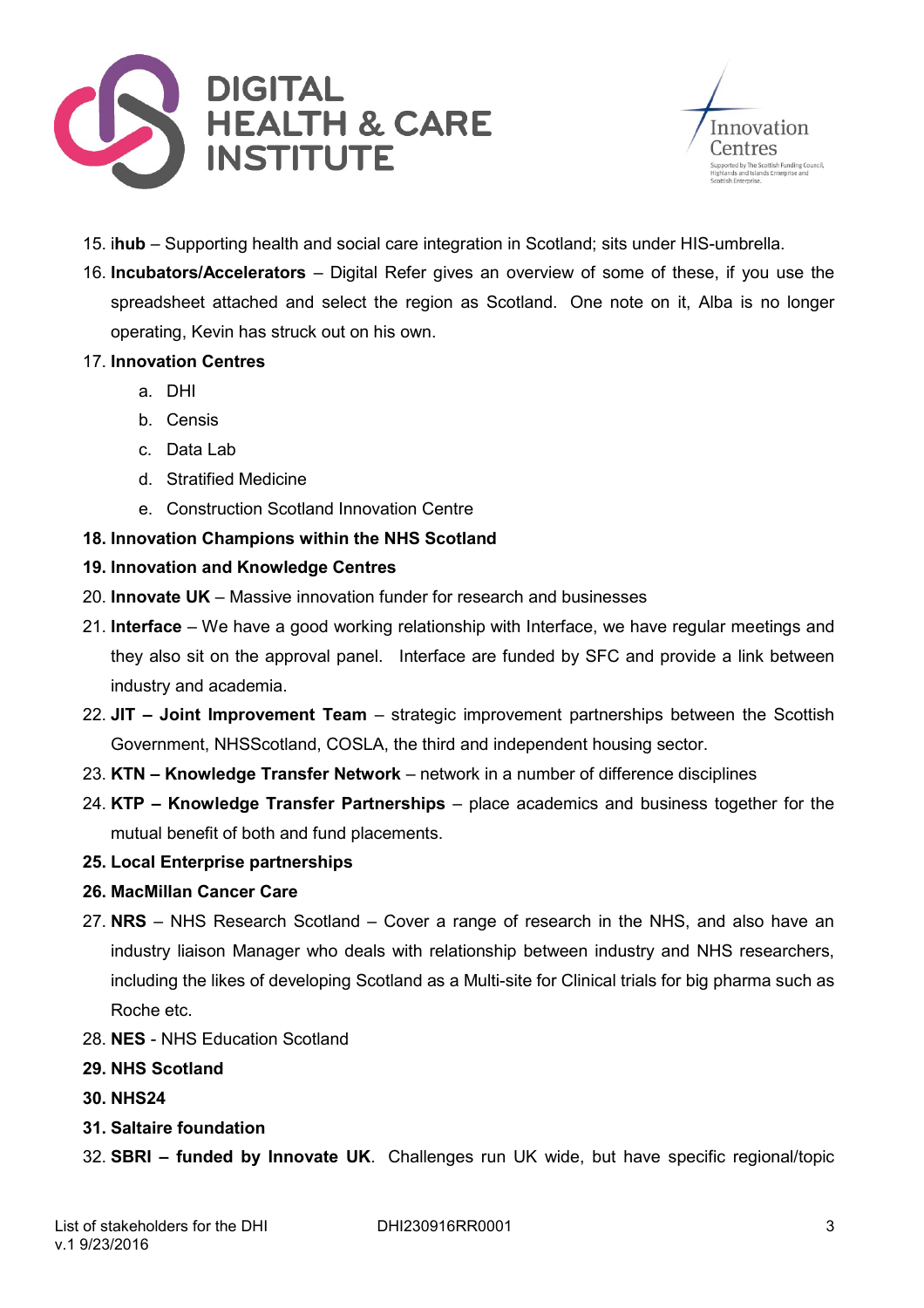



- 15. i**hub** Supporting health and social care integration in Scotland; sits under HIS-umbrella.
- 16. **Incubators/Accelerators** Digital Refer gives an overview of some of these, if you use the spreadsheet attached and select the region as Scotland. One note on it, Alba is no longer operating, Kevin has struck out on his own.
- 17. **Innovation Centres**
	- a. DHI
	- b. Censis
	- c. Data Lab
	- d. Stratified Medicine
	- e. Construction Scotland Innovation Centre

#### **18. Innovation Champions within the NHS Scotland**

- **19. Innovation and Knowledge Centres**
- 20. **Innovate UK** Massive innovation funder for research and businesses
- 21. **Interface**  We have a good working relationship with Interface, we have regular meetings and they also sit on the approval panel. Interface are funded by SFC and provide a link between industry and academia.
- 22. **JIT – Joint Improvement Team** strategic improvement partnerships between the Scottish Government, NHSScotland, COSLA, the third and independent housing sector.
- 23. **KTN – Knowledge Transfer Network** network in a number of difference disciplines
- 24. **KTP – Knowledge Transfer Partnerships** place academics and business together for the mutual benefit of both and fund placements.
- **25. Local Enterprise partnerships**
- **26. MacMillan Cancer Care**
- 27. **NRS** NHS Research Scotland Cover a range of research in the NHS, and also have an industry liaison Manager who deals with relationship between industry and NHS researchers, including the likes of developing Scotland as a Multi-site for Clinical trials for big pharma such as Roche etc.
- 28. **NES** NHS Education Scotland
- **29. NHS Scotland**
- **30. NHS24**
- **31. Saltaire foundation**
- 32. **SBRI – funded by Innovate UK**. Challenges run UK wide, but have specific regional/topic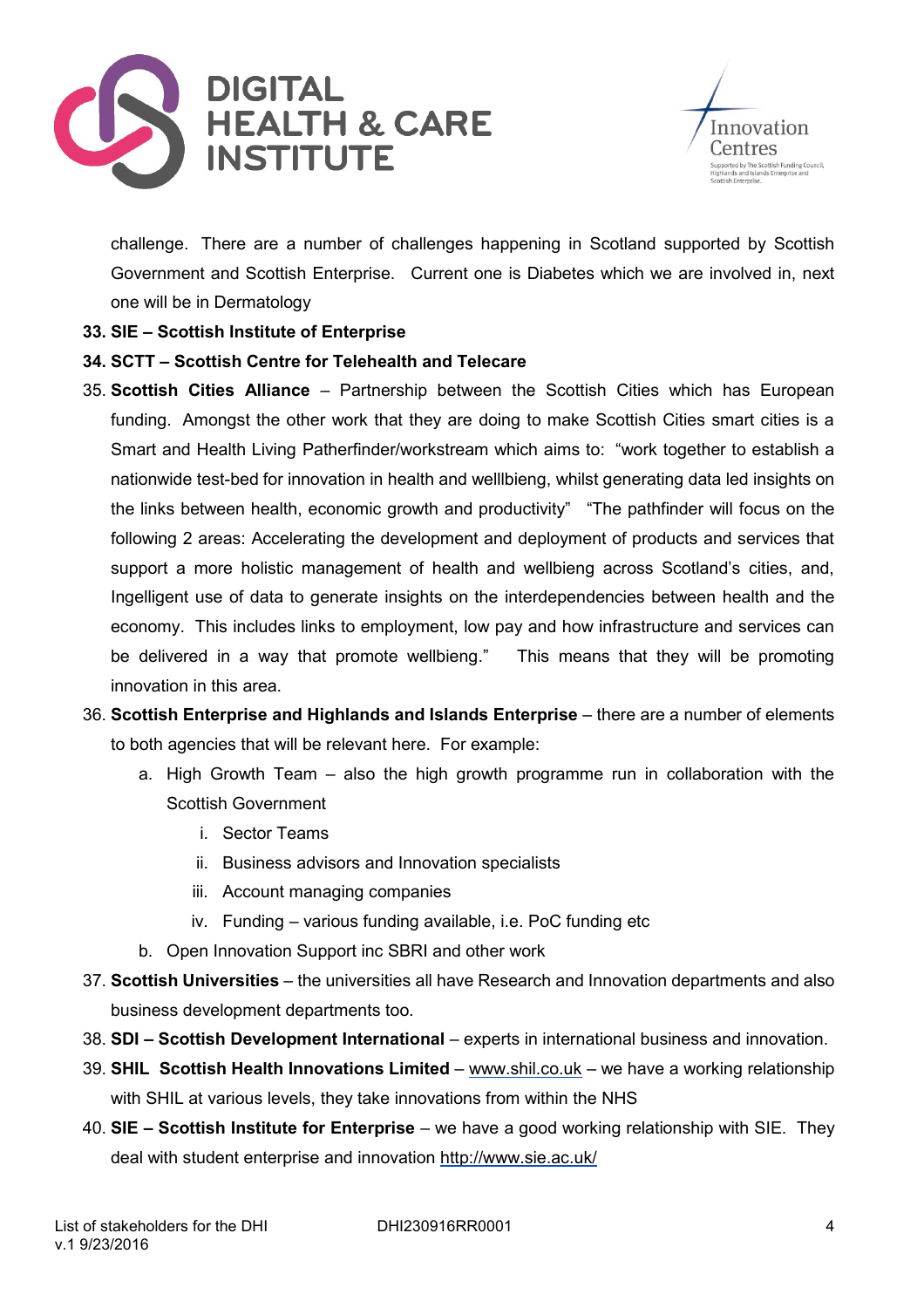



challenge. There are a number of challenges happening in Scotland supported by Scottish Government and Scottish Enterprise. Current one is Diabetes which we are involved in, next one will be in Dermatology

### **33. SIE – Scottish Institute of Enterprise**

### **34. SCTT – Scottish Centre for Telehealth and Telecare**

- 35. **Scottish Cities Alliance** Partnership between the Scottish Cities which has European funding. Amongst the other work that they are doing to make Scottish Cities smart cities is a Smart and Health Living Patherfinder/workstream which aims to: "work together to establish a nationwide test-bed for innovation in health and welllbieng, whilst generating data led insights on the links between health, economic growth and productivity" "The pathfinder will focus on the following 2 areas: Accelerating the development and deployment of products and services that support a more holistic management of health and wellbieng across Scotland's cities, and, Ingelligent use of data to generate insights on the interdependencies between health and the economy. This includes links to employment, low pay and how infrastructure and services can be delivered in a way that promote wellbieng." This means that they will be promoting innovation in this area.
- 36. **Scottish Enterprise and Highlands and Islands Enterprise** there are a number of elements to both agencies that will be relevant here. For example:
	- a. High Growth Team also the high growth programme run in collaboration with the Scottish Government
		- i. Sector Teams
		- ii. Business advisors and Innovation specialists
		- iii. Account managing companies
		- iv. Funding various funding available, i.e. PoC funding etc
	- b. Open Innovation Support inc SBRI and other work
- 37. **Scottish Universities** the universities all have Research and Innovation departments and also business development departments too.
- 38. **SDI – Scottish Development International** experts in international business and innovation.
- 39. **SHIL Scottish Health Innovations Limited** [www.shil.co.uk](http://www.shil.co.uk/) we have a working relationship with SHIL at various levels, they take innovations from within the NHS
- 40. **SIE – Scottish Institute for Enterprise** we have a good working relationship with SIE. They deal with student enterprise and innovation<http://www.sie.ac.uk/>